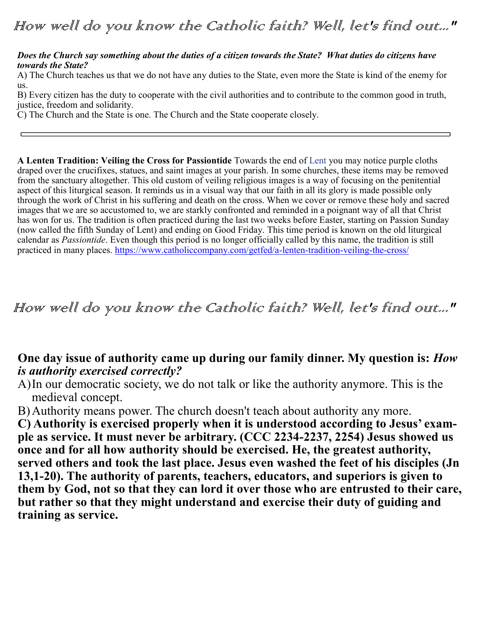*Does the Church say something about the duties of a citizen towards the State? What duties do citizens have towards the State?*

A) The Church teaches us that we do not have any duties to the State, even more the State is kind of the enemy for us.

B) Every citizen has the duty to cooperate with the civil authorities and to contribute to the common good in truth, justice, freedom and solidarity.

C) The Church and the State is one. The Church and the State cooperate closely.

**A Lenten Tradition: Veiling the Cross for Passiontide** Towards the end of [Lent](http://www.catholiccompany.com/lent-easter-c217/) you may notice purple cloths draped over the crucifixes, statues, and saint images at your parish. In some churches, these items may be removed from the sanctuary altogether. This old custom of veiling religious images is a way of focusing on the penitential aspect of this liturgical season. It reminds us in a visual way that our faith in all its glory is made possible only through the work of Christ in his suffering and death on the cross. When we cover or remove these holy and sacred images that we are so accustomed to, we are starkly confronted and reminded in a poignant way of all that Christ has won for us. The tradition is often practiced during the last two weeks before Easter, starting on Passion Sunday (now called the fifth Sunday of Lent) and ending on Good Friday. This time period is known on the old liturgical calendar as *Passiontide*. Even though this period is no longer officially called by this name, the tradition is still practiced in many places. [https://www.catholiccompany.com/getfed/a](https://www.catholiccompany.com/getfed/a-lenten-tradition-veiling-the-cross/)-lenten-tradition-veiling-the-cross/

How well do you know the Catholic faith? Well, let's find out..."

## **One day issue of authority came up during our family dinner. My question is:** *How is authority exercised correctly?*

A)In our democratic society, we do not talk or like the authority anymore. This is the medieval concept.

B)Authority means power. The church doesn't teach about authority any more.

**C) Authority is exercised properly when it is understood according to Jesus' example as service. It must never be arbitrary. (CCC 2234-2237, 2254) Jesus showed us once and for all how authority should be exercised. He, the greatest authority, served others and took the last place. Jesus even washed the feet of his disciples (Jn 13,1-20). The authority of parents, teachers, educators, and superiors is given to them by God, not so that they can lord it over those who are entrusted to their care, but rather so that they might understand and exercise their duty of guiding and training as service.**